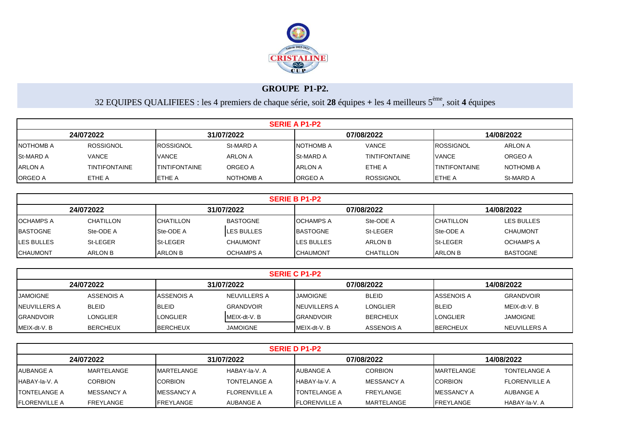

## **GROUPE P1-P2.**

32 EQUIPES QUALIFIEES : les 4 premiers de chaque série, soit **28** équipes **+** les 4 meilleurs 5ème, soit **4** équipes

|                | <b>SERIE A P1-P2</b>                                |                       |           |                   |                      |                      |           |  |  |  |  |  |
|----------------|-----------------------------------------------------|-----------------------|-----------|-------------------|----------------------|----------------------|-----------|--|--|--|--|--|
|                | 31/07/2022<br>07/08/2022<br>14/08/2022<br>24/072022 |                       |           |                   |                      |                      |           |  |  |  |  |  |
| NOTHOMB A      | <b>ROSSIGNOL</b>                                    | <b>ROSSIGNOL</b>      | St-MARD A | <b>INOTHOMB A</b> | <b>VANCE</b>         | IROSSIGNOL           | ARLON A   |  |  |  |  |  |
| St-MARD A      | <b>VANCE</b>                                        | <b>VANCE</b>          | ARLON A   | <b>St-MARD A</b>  | <b>TINTIFONTAINE</b> | <b>VANCE</b>         | ORGEO A   |  |  |  |  |  |
| <b>ARLON A</b> | <b>TINTIFONTAINE</b>                                | <b>ITINTIFONTAINE</b> | ORGEO A   | <b>IARLON A</b>   | ETHE A               | <b>TINTIFONTAINE</b> | NOTHOMB A |  |  |  |  |  |
| <b>ORGEO A</b> | ETHE A                                              | <b>IETHE A</b>        | NOTHOMB A | <b>I</b> ORGEO A  | <b>ROSSIGNOL</b>     | <b>I</b> ETHE A      | St-MARD A |  |  |  |  |  |

|                                                     | <b>SERIE B P1-P2</b> |                  |                    |                    |           |                  |                   |  |  |  |  |  |
|-----------------------------------------------------|----------------------|------------------|--------------------|--------------------|-----------|------------------|-------------------|--|--|--|--|--|
| 31/07/2022<br>07/08/2022<br>24/072022<br>14/08/2022 |                      |                  |                    |                    |           |                  |                   |  |  |  |  |  |
| <b>OCHAMPS A</b>                                    | CHATILLON            | <b>CHATILLON</b> | <b>BASTOGNE</b>    | <b>OCHAMPS A</b>   | Ste-ODE A | <b>CHATILLON</b> | <b>LES BULLES</b> |  |  |  |  |  |
| <b>BASTOGNE</b>                                     | Ste-ODE A            | Ste-ODE A        | <b>ILES BULLES</b> | <b>BASTOGNE</b>    | St-LEGER  | <b>Ste-ODE A</b> | <b>CHAUMONT</b>   |  |  |  |  |  |
| <b>LES BULLES</b>                                   | St-LEGER             | <b>St-LEGER</b>  | <b>CHAUMONT</b>    | <b>ILES BULLES</b> | ARLON B   | <b>St-LEGER</b>  | <b>OCHAMPS A</b>  |  |  |  |  |  |
| <b>CHAUMONT</b>                                     | ARLON B              | <b>ARLON B</b>   | <b>OCHAMPS A</b>   | <b>ICHAUMONT</b>   | CHATILLON | <b>ARLON B</b>   | <b>BASTOGNE</b>   |  |  |  |  |  |

|                                                     | <b>SERIE C P1-P2</b> |                   |                     |                      |                 |                  |                  |  |  |  |  |  |
|-----------------------------------------------------|----------------------|-------------------|---------------------|----------------------|-----------------|------------------|------------------|--|--|--|--|--|
| 31/07/2022<br>07/08/2022<br>14/08/2022<br>24/072022 |                      |                   |                     |                      |                 |                  |                  |  |  |  |  |  |
| <b>JAMOIGNE</b>                                     | <b>ASSENOIS A</b>    | <b>ASSENOIS A</b> | <b>NEUVILLERS A</b> | <b>JAMOIGNE</b>      | <b>BLEID</b>    | ASSENOIS A       | <b>GRANDVOIR</b> |  |  |  |  |  |
| <b>INEUVILLERS A</b>                                | <b>BLEID</b>         | <b>BLEID</b>      | <b>GRANDVOIR</b>    | <b>INEUVILLERS A</b> | <b>LONGLIER</b> | <b>BLEID</b>     | MEIX-dt-V. B     |  |  |  |  |  |
| <b>GRANDVOIR</b>                                    | LONGLIER             | <b>LONGLIER</b>   | MEIX-dt-V.B         | <b>IGRANDVOIR</b>    | <b>BERCHEUX</b> | <b>ILONGLIER</b> | JAMOIGNE         |  |  |  |  |  |
| MEIX-dt-V.B                                         | <b>BERCHEUX</b>      | <b>BERCHEUX</b>   | <b>JAMOIGNE</b>     | <b>IMEIX-dt-V.B</b>  | ASSENOIS A      | <b>IBERCHEUX</b> | NEUVILLERS A     |  |  |  |  |  |

| <b>SERIE D P1-P2</b>                                |                  |                    |                      |                       |                |                    |                      |  |  |  |  |
|-----------------------------------------------------|------------------|--------------------|----------------------|-----------------------|----------------|--------------------|----------------------|--|--|--|--|
| 31/07/2022<br>24/072022<br>07/08/2022<br>14/08/2022 |                  |                    |                      |                       |                |                    |                      |  |  |  |  |
| AUBANGE A                                           | MARTELANGE       | <b>IMARTELANGE</b> | HABAY-la-V, A        | <b>AUBANGE A</b>      | <b>CORBION</b> | <b>IMARTELANGE</b> | <b>TONTELANGE A</b>  |  |  |  |  |
| HABAY-la-V. A                                       | <b>CORBION</b>   | <b>CORBION</b>     | <b>TONTELANGE A</b>  | IHABAY-la-V. A        | MESSANCY A     | <b>ICORBION</b>    | <b>FLORENVILLE A</b> |  |  |  |  |
| <b>ITONTELANGE A</b>                                | MESSANCY A       | <b>IMESSANCY A</b> | <b>FLORENVILLE A</b> | <b>ITONTELANGE A</b>  | FREYLANGE      | <b>IMESSANCY A</b> | AUBANGE A            |  |  |  |  |
| <b>IFLORENVILLE A</b>                               | <b>FREYLANGE</b> | <b>IFREYLANGE</b>  | AUBANGE A            | <b>IFLORENVILLE A</b> | MARTELANGE     | <b>IFREYLANGE</b>  | HABAY-la-V, A        |  |  |  |  |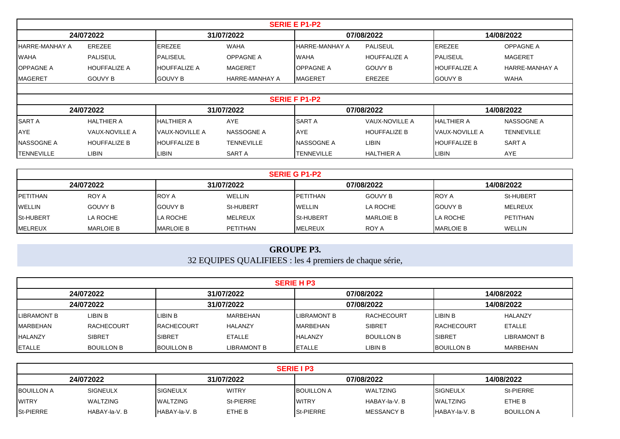|                         | <b>SERIE E P1-P2</b>  |                     |                   |                         |                       |                        |                   |  |  |  |  |  |
|-------------------------|-----------------------|---------------------|-------------------|-------------------------|-----------------------|------------------------|-------------------|--|--|--|--|--|
| 24/072022<br>31/07/2022 |                       |                     |                   | 07/08/2022              |                       | 14/08/2022             |                   |  |  |  |  |  |
| IHARRE-MANHAY A         | <b>EREZEE</b>         | <b>EREZEE</b>       | <b>WAHA</b>       | <b>I</b> HARRE-MANHAY A | PALISEUL              | <b>EREZEE</b>          | <b>OPPAGNE A</b>  |  |  |  |  |  |
| <b>WAHA</b>             | <b>PALISEUL</b>       | PALISEUL            | OPPAGNE A         | <b>IWAHA</b>            | <b>HOUFFALIZE A</b>   | <b>IPALISEUL</b>       | <b>MAGERET</b>    |  |  |  |  |  |
| <b>IOPPAGNE A</b>       | <b>HOUFFALIZE A</b>   | <b>HOUFFALIZE A</b> | MAGERET           | <b>OPPAGNE A</b>        | <b>GOUVY B</b>        | <b>IHOUFFALIZE A</b>   | HARRE-MANHAY A    |  |  |  |  |  |
| <b>IMAGERET</b>         | <b>GOUVY B</b>        | <b>GOUVY B</b>      | HARRE-MANHAY A    | <b>IMAGERET</b>         | EREZEE                | <b>GOUVY B</b>         | <b>WAHA</b>       |  |  |  |  |  |
|                         |                       |                     |                   |                         |                       |                        |                   |  |  |  |  |  |
|                         |                       |                     |                   | <b>SERIE F P1-P2</b>    |                       |                        |                   |  |  |  |  |  |
|                         | 24/072022             |                     | 31/07/2022        |                         | 07/08/2022            |                        | 14/08/2022        |  |  |  |  |  |
| <b>SARTA</b>            | <b>HALTHIER A</b>     | HALTHIER A          | AYE               | <b>ISART A</b>          | <b>VAUX-NOVILLE A</b> | <b>HALTHIER A</b>      | NASSOGNE A        |  |  |  |  |  |
| <b>AYE</b>              | <b>VAUX-NOVILLE A</b> | VAUX-NOVILLE A      | NASSOGNE A        | <b>AYE</b>              | <b>HOUFFALIZE B</b>   | <b>IVAUX-NOVILLE A</b> | <b>TENNEVILLE</b> |  |  |  |  |  |
| <b>NASSOGNE A</b>       | <b>HOUFFALIZE B</b>   | <b>HOUFFALIZE B</b> | <b>TENNEVILLE</b> | <b>NASSOGNE A</b>       | <b>LIBIN</b>          | <b>HOUFFALIZE B</b>    | SART A            |  |  |  |  |  |
| <b>TENNEVILLE</b>       | LIBIN                 | <b>LIBIN</b>        | SART A            | <b>TENNEVILLE</b>       | <b>HALTHIER A</b>     | LIBIN                  | <b>AYE</b>        |  |  |  |  |  |

|                                                     | <b>SERIE G P1-P2</b> |                  |                |                   |                  |                  |                 |  |  |  |  |  |
|-----------------------------------------------------|----------------------|------------------|----------------|-------------------|------------------|------------------|-----------------|--|--|--|--|--|
| 07/08/2022<br>31/07/2022<br>24/072022<br>14/08/2022 |                      |                  |                |                   |                  |                  |                 |  |  |  |  |  |
| <b>IPETITHAN</b>                                    | ROY A                | <b>ROY A</b>     | <b>WELLIN</b>  | <b>IPETITHAN</b>  | <b>GOUVY B</b>   | <b>IROY A</b>    | St-HUBERT       |  |  |  |  |  |
| <b>WELLIN</b>                                       | <b>GOUVY B</b>       | <b>GOUVY B</b>   | St-HUBERT      | <b>WELLIN</b>     | LA ROCHE         | <b>IGOUVY B</b>  | MELREUX         |  |  |  |  |  |
| <b>St-HUBERT</b>                                    | LA ROCHE             | LA ROCHE         | <b>MELREUX</b> | <b>ISt-HUBERT</b> | <b>MARLOIE B</b> | LA ROCHE         | <b>PETITHAN</b> |  |  |  |  |  |
| <b>MELREUX</b>                                      | <b>MARLOIE B</b>     | <b>MARLOIE B</b> | PETITHAN       | <b>IMELREUX</b>   | ROY A            | <b>MARLOIE B</b> | <b>WELLIN</b>   |  |  |  |  |  |

## 32 EQUIPES QUALIFIEES : les 4 premiers de chaque série, **GROUPE P3.**

|                                                     | <b>SERIE H P3</b> |                    |                |                     |                   |                    |                |  |  |  |  |  |
|-----------------------------------------------------|-------------------|--------------------|----------------|---------------------|-------------------|--------------------|----------------|--|--|--|--|--|
| 31/07/2022<br>07/08/2022<br>14/08/2022<br>24/072022 |                   |                    |                |                     |                   |                    |                |  |  |  |  |  |
| 24/072022                                           |                   |                    | 31/07/2022     |                     | 07/08/2022        |                    | 14/08/2022     |  |  |  |  |  |
| <b>LIBRAMONT B</b>                                  | LIBIN B           | LIBIN B            | MARBEHAN       | <b>ILIBRAMONT B</b> | RACHECOURT        | <b>ILIBIN B</b>    | <b>HALANZY</b> |  |  |  |  |  |
| MARBEHAN                                            | <b>RACHECOURT</b> | <b>IRACHECOURT</b> | <b>HALANZY</b> | <b>MARBEHAN</b>     | <b>SIBRET</b>     | <b>IRACHECOURT</b> | <b>ETALLE</b>  |  |  |  |  |  |
| <b>HALANZY</b>                                      | <b>SIBRET</b>     | <b>SIBRET</b>      | <b>ETALLE</b>  | <b>HALANZY</b>      | <b>BOUILLON B</b> | ISIBRET            | LIBRAMONT B    |  |  |  |  |  |
| <b>ETALLE</b>                                       | <b>BOUILLON B</b> | <b>BOUILLON B</b>  | LIBRAMONT B    | <b>IETALLE</b>      | LIBIN B           | <b>BOUILLON B</b>  | MARBEHAN       |  |  |  |  |  |

|                                                     | <b>SERIE I P3</b> |                 |              |                   |               |                  |                   |  |  |  |  |  |
|-----------------------------------------------------|-------------------|-----------------|--------------|-------------------|---------------|------------------|-------------------|--|--|--|--|--|
| 31/07/2022<br>07/08/2022<br>14/08/2022<br>24/072022 |                   |                 |              |                   |               |                  |                   |  |  |  |  |  |
| <b>BOUILLON A</b>                                   | <b>SIGNEULX</b>   | <b>SIGNEULX</b> | <b>WITRY</b> | <b>BOUILLON A</b> | WALTZING      | <b>ISIGNEULX</b> | St-PIERRE         |  |  |  |  |  |
| <b>WITRY</b>                                        | WALTZING          | <b>WALTZING</b> | St-PIERRE    | <b>IWITRY</b>     | HABAY-la-V. B | <b>WALTZING</b>  | ETHE B            |  |  |  |  |  |
| <b>St-PIERRE</b>                                    | HABAY-la-V, B     | HABAY-la-V, B   | ETHE B       | <b>St-PIERRE</b>  | MESSANCY B    | HABAY-la-V, B    | <b>BOUILLON A</b> |  |  |  |  |  |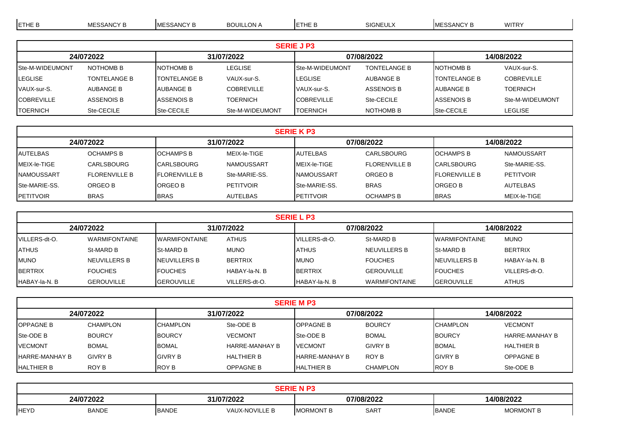| <b>ETHE B</b>           | <b>MESSANCY B</b>   | <b>MESSANCY B</b>    | <b>BOUILLON A</b> | <b>IETHE B</b>         | <b>SIGNEULX</b>     | <b>MESSANCY B</b>   | <b>WITRY</b>      |  |
|-------------------------|---------------------|----------------------|-------------------|------------------------|---------------------|---------------------|-------------------|--|
|                         |                     |                      |                   |                        |                     |                     |                   |  |
|                         |                     |                      |                   | <b>SERIE J P3</b>      |                     |                     |                   |  |
| 24/072022<br>31/07/2022 |                     |                      |                   |                        | 07/08/2022          |                     | 14/08/2022        |  |
| <b>Ste-M-WIDEUMONT</b>  | NOTHOMB B           | NOTHOMB B            | LEGLISE           | <b>Ste-M-WIDEUMONT</b> | <b>TONTELANGE B</b> | <b>INOTHOMB B</b>   | VAUX-sur-S.       |  |
| <b>ILEGLISE</b>         | <b>TONTELANGE B</b> | <b>ITONTELANGE B</b> | VAUX-sur-S.       | <b>I</b> LEGLISE       | AUBANGE B           | <b>TONTELANGE B</b> | <b>COBREVILLE</b> |  |
| VAUX-sur-S.             | AUBANGE B           | AUBANGE B            | <b>COBREVILLE</b> | VAUX-sur-S.            | <b>ASSENOIS B</b>   | AUBANGE B           | <b>TOERNICH</b>   |  |
| <b>ICOBREVILLE</b>      | ASSENOIS B          | <b>ASSENOIS B</b>    | TOERNICH          | <b>ICOBREVILLE</b>     | Ste-CECILE          | IASSENOIS B         | Ste-M-WIDEUMONT   |  |

TOERNICH Ste-CECILE Ste-CECILE Ste-CECILE Ste-M-WIDEUMONT TOERNICH NOTHOMB B Ste-CECILE LEGLISE

|                                                     | <b>SERIE K P3</b>    |                       |                  |                      |                      |                        |                   |  |  |  |  |  |
|-----------------------------------------------------|----------------------|-----------------------|------------------|----------------------|----------------------|------------------------|-------------------|--|--|--|--|--|
| 31/07/2022<br>07/08/2022<br>24/072022<br>14/08/2022 |                      |                       |                  |                      |                      |                        |                   |  |  |  |  |  |
| <b>AUTELBAS</b>                                     | <b>OCHAMPS B</b>     | <b>IOCHAMPS B</b>     | MEIX-le-TIGE     | <b>IAUTELBAS</b>     | <b>CARLSBOURG</b>    | <b>IOCHAMPS B</b>      | <b>NAMOUSSART</b> |  |  |  |  |  |
| MEIX-le-TIGE                                        | <b>CARLSBOURG</b>    | <b>CARLSBOURG</b>     | NAMOUSSART       | IMEIX-le-TIGE        | <b>FLORENVILLE B</b> | <b>ICARLSBOURG</b>     | Ste-MARIE-SS.     |  |  |  |  |  |
| <b>INAMOUSSART</b>                                  | <b>FLORENVILLE B</b> | <b>IFLORENVILLE B</b> | Ste-MARIE-SS.    | <b>INAMOUSSART</b>   | ORGEO B              | <b>I</b> FLORENVILLE B | <b>PETITVOIR</b>  |  |  |  |  |  |
| <b>Ste-MARIE-SS.</b>                                | ORGEO B              | <b>ORGEO B</b>        | <b>PETITVOIR</b> | <b>Ste-MARIE-SS.</b> | <b>BRAS</b>          | <b>ORGEO B</b>         | AUTELBAS          |  |  |  |  |  |
| <b>IPETITVOIR</b>                                   | <b>BRAS</b>          | <b>BRAS</b>           | <b>AUTELBAS</b>  | <b>IPETITVOIR</b>    | <b>OCHAMPS B</b>     | <b>BRAS</b>            | MEIX-le-TIGE      |  |  |  |  |  |

|                         | <b>SERIE L P3</b>    |                      |                |                       |                      |                       |                |  |  |  |  |  |
|-------------------------|----------------------|----------------------|----------------|-----------------------|----------------------|-----------------------|----------------|--|--|--|--|--|
| 24/072022<br>31/07/2022 |                      |                      |                |                       | 07/08/2022           | 14/08/2022            |                |  |  |  |  |  |
| VILLERS-dt-O.           | <b>WARMIFONTAINE</b> | <b>WARMIFONTAINE</b> | <b>ATHUS</b>   | VILLERS-dt-O.         | St-MARD B            | <b>IWARMIFONTAINE</b> | <b>MUNO</b>    |  |  |  |  |  |
| <b>ATHUS</b>            | St-MARD B            | <b>St-MARD B</b>     | <b>MUNO</b>    | <b>ATHUS</b>          | NEUVILLERS B         | <b>ISt-MARD B</b>     | <b>BERTRIX</b> |  |  |  |  |  |
| <b>MUNO</b>             | NEUVILLERS B         | <b>INEUVILLERS B</b> | <b>BERTRIX</b> | <b>IMUNO</b>          | <b>FOUCHES</b>       | <b>INEUVILLERS B</b>  | HABAY-la-N, B  |  |  |  |  |  |
| <b>BERTRIX</b>          | <b>FOUCHES</b>       | <b>IFOUCHES</b>      | HABAY-la-N, B  | <b>BERTRIX</b>        | <b>GEROUVILLE</b>    | <b>IFOUCHES</b>       | VILLERS-dt-O.  |  |  |  |  |  |
| HABAY-la-N, B           | <b>GEROUVILLE</b>    | <b>GEROUVILLE</b>    | VILLERS-dt-O.  | <b>IHABAY-la-N. B</b> | <b>WARMIFONTAINE</b> | <b>GEROUVILLE</b>     | <b>ATHUS</b>   |  |  |  |  |  |

|                                                     | <b>SERIE M P3</b> |                 |                       |                        |                 |                 |                   |  |  |  |  |  |
|-----------------------------------------------------|-------------------|-----------------|-----------------------|------------------------|-----------------|-----------------|-------------------|--|--|--|--|--|
| 07/08/2022<br>31/07/2022<br>14/08/2022<br>24/072022 |                   |                 |                       |                        |                 |                 |                   |  |  |  |  |  |
| <b>OPPAGNE B</b>                                    | <b>CHAMPLON</b>   | <b>CHAMPLON</b> | Ste-ODE B             | <b>IOPPAGNE B</b>      | <b>BOURCY</b>   | <b>CHAMPLON</b> | <b>VECMONT</b>    |  |  |  |  |  |
| <b>Ste-ODE B</b>                                    | <b>BOURCY</b>     | <b>BOURCY</b>   | <b>VECMONT</b>        | <b>Ste-ODE B</b>       | <b>BOMAL</b>    | <b>BOURCY</b>   | HARRE-MANHAY B    |  |  |  |  |  |
| <b>VECMONT</b>                                      | <b>BOMAL</b>      | <b>BOMAL</b>    | <b>HARRE-MANHAY B</b> | <b>IVECMONT</b>        | <b>GIVRY B</b>  | <b>BOMAL</b>    | <b>HALTHIER B</b> |  |  |  |  |  |
| <b>IHARRE-MANHAY B</b>                              | <b>GIVRY B</b>    | <b>GIVRY B</b>  | <b>HALTHIER B</b>     | <b>IHARRE-MANHAY B</b> | ROY B           | <b>IGIVRY B</b> | <b>OPPAGNE B</b>  |  |  |  |  |  |
| <b>HALTHIER B</b>                                   | ROY B             | <b>ROY B</b>    | <b>OPPAGNE B</b>      | <b>IHALTHIER B</b>     | <b>CHAMPLON</b> | <b>ROY B</b>    | Ste-ODE B         |  |  |  |  |  |

| 24/072022 |              | 31/07/2021   |                | 07/08/2022              |             |       | 4/08/2022      |  |
|-----------|--------------|--------------|----------------|-------------------------|-------------|-------|----------------|--|
| HEYD      | <b>BANDE</b> | <b>BANDE</b> | VAUX-NOVILLE B | <b>IMORMONT</b><br>- 13 | <b>SART</b> | BANDE | <b>MORMONT</b> |  |